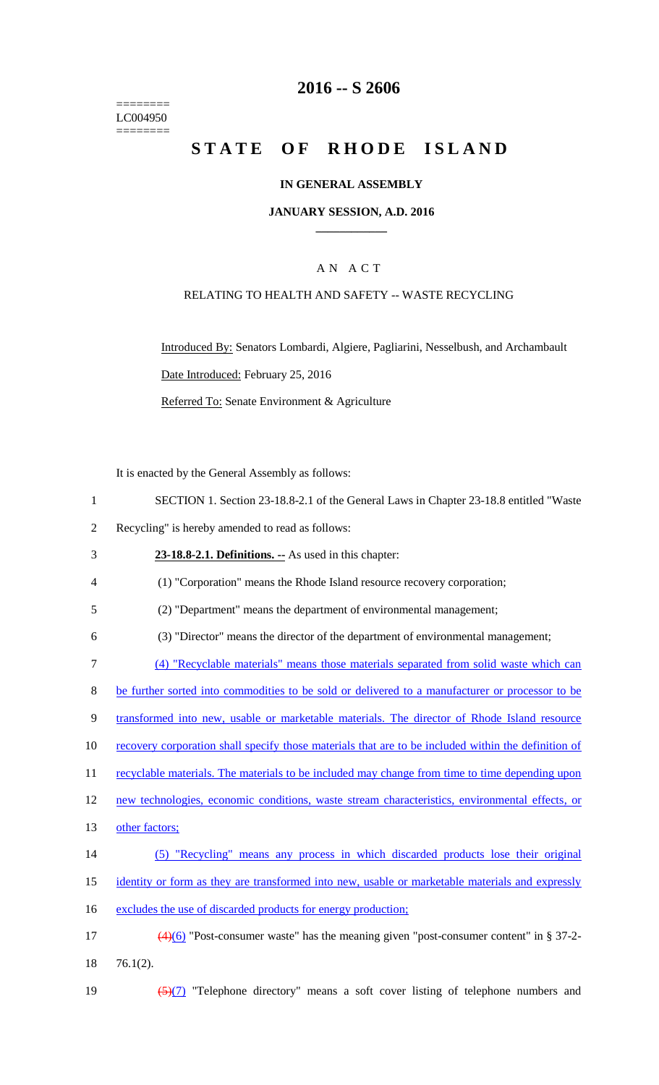======== LC004950 ========

# **2016 -- S 2606**

# **STATE OF RHODE ISLAND**

### **IN GENERAL ASSEMBLY**

#### **JANUARY SESSION, A.D. 2016 \_\_\_\_\_\_\_\_\_\_\_\_**

## A N A C T

### RELATING TO HEALTH AND SAFETY -- WASTE RECYCLING

Introduced By: Senators Lombardi, Algiere, Pagliarini, Nesselbush, and Archambault Date Introduced: February 25, 2016 Referred To: Senate Environment & Agriculture

It is enacted by the General Assembly as follows:

2 Recycling" is hereby amended to read as follows:

3 **23-18.8-2.1. Definitions. --** As used in this chapter:

4 (1) "Corporation" means the Rhode Island resource recovery corporation;

5 (2) "Department" means the department of environmental management;

6 (3) "Director" means the director of the department of environmental management;

7 (4) "Recyclable materials" means those materials separated from solid waste which can

8 be further sorted into commodities to be sold or delivered to a manufacturer or processor to be

9 transformed into new, usable or marketable materials. The director of Rhode Island resource

10 recovery corporation shall specify those materials that are to be included within the definition of

11 recyclable materials. The materials to be included may change from time to time depending upon

12 new technologies, economic conditions, waste stream characteristics, environmental effects, or

- 13 other factors;
- 14 (5) "Recycling" means any process in which discarded products lose their original

15 identity or form as they are transformed into new, usable or marketable materials and expressly

16 excludes the use of discarded products for energy production;

17 (4)(6) "Post-consumer waste" has the meaning given "post-consumer content" in § 37-2- 18 76.1(2).

19  $\frac{5(7)}{7}$  "Telephone directory" means a soft cover listing of telephone numbers and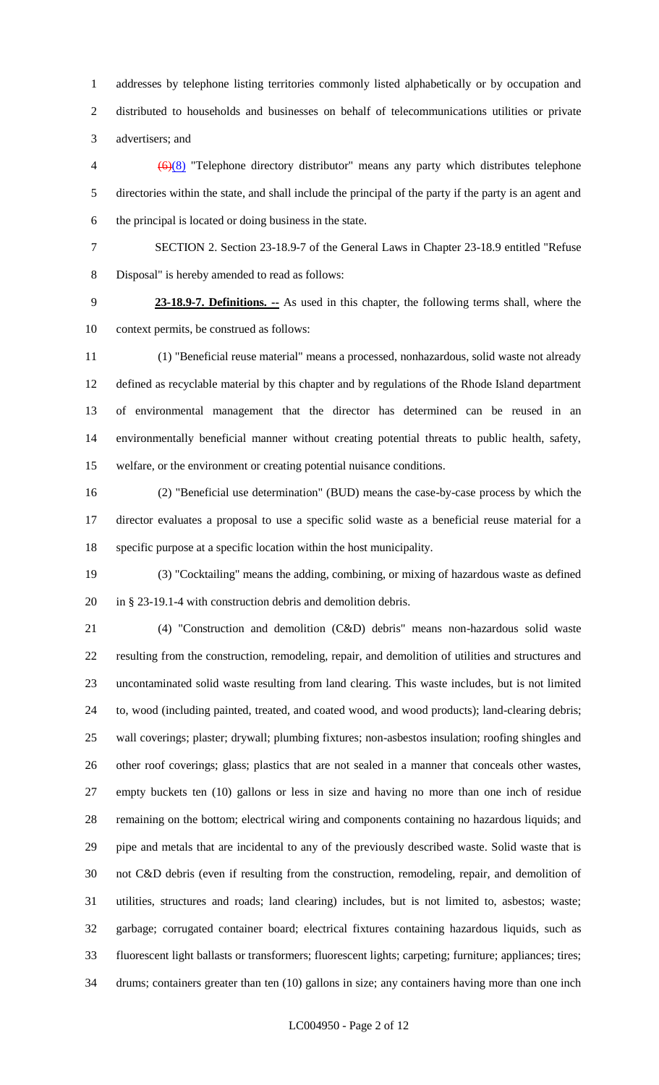addresses by telephone listing territories commonly listed alphabetically or by occupation and distributed to households and businesses on behalf of telecommunications utilities or private advertisers; and

 (6)(8) "Telephone directory distributor" means any party which distributes telephone directories within the state, and shall include the principal of the party if the party is an agent and the principal is located or doing business in the state.

 SECTION 2. Section 23-18.9-7 of the General Laws in Chapter 23-18.9 entitled "Refuse Disposal" is hereby amended to read as follows:

 **23-18.9-7. Definitions. --** As used in this chapter, the following terms shall, where the context permits, be construed as follows:

 (1) "Beneficial reuse material" means a processed, nonhazardous, solid waste not already defined as recyclable material by this chapter and by regulations of the Rhode Island department of environmental management that the director has determined can be reused in an environmentally beneficial manner without creating potential threats to public health, safety, welfare, or the environment or creating potential nuisance conditions.

 (2) "Beneficial use determination" (BUD) means the case-by-case process by which the director evaluates a proposal to use a specific solid waste as a beneficial reuse material for a specific purpose at a specific location within the host municipality.

 (3) "Cocktailing" means the adding, combining, or mixing of hazardous waste as defined in § 23-19.1-4 with construction debris and demolition debris.

 (4) "Construction and demolition (C&D) debris" means non-hazardous solid waste resulting from the construction, remodeling, repair, and demolition of utilities and structures and uncontaminated solid waste resulting from land clearing. This waste includes, but is not limited to, wood (including painted, treated, and coated wood, and wood products); land-clearing debris; wall coverings; plaster; drywall; plumbing fixtures; non-asbestos insulation; roofing shingles and other roof coverings; glass; plastics that are not sealed in a manner that conceals other wastes, empty buckets ten (10) gallons or less in size and having no more than one inch of residue remaining on the bottom; electrical wiring and components containing no hazardous liquids; and pipe and metals that are incidental to any of the previously described waste. Solid waste that is not C&D debris (even if resulting from the construction, remodeling, repair, and demolition of utilities, structures and roads; land clearing) includes, but is not limited to, asbestos; waste; garbage; corrugated container board; electrical fixtures containing hazardous liquids, such as fluorescent light ballasts or transformers; fluorescent lights; carpeting; furniture; appliances; tires; drums; containers greater than ten (10) gallons in size; any containers having more than one inch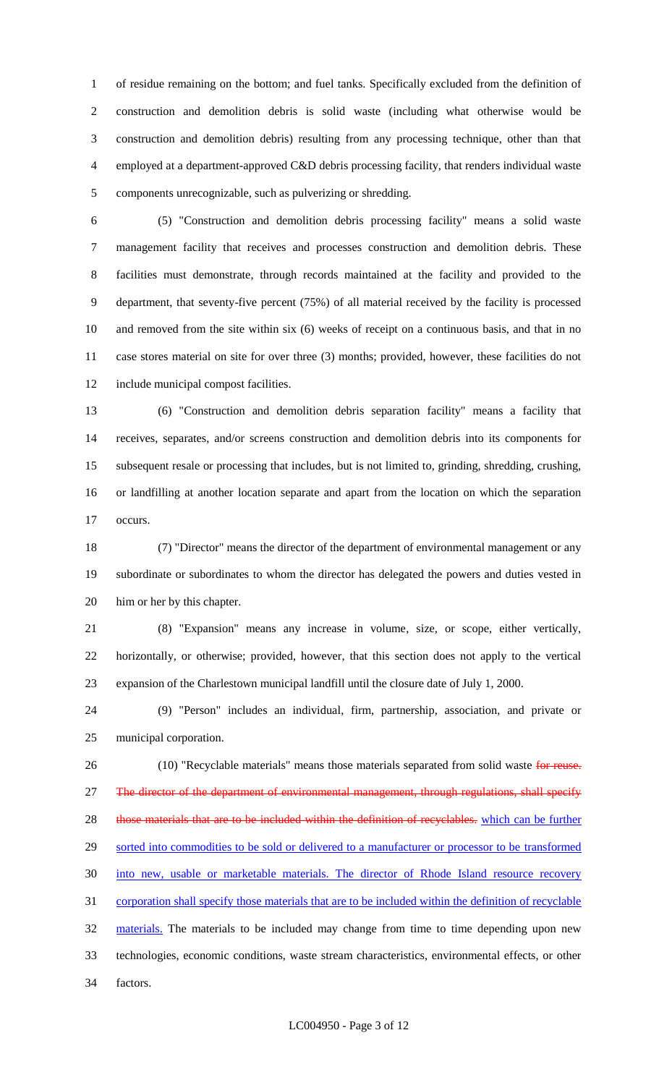of residue remaining on the bottom; and fuel tanks. Specifically excluded from the definition of construction and demolition debris is solid waste (including what otherwise would be construction and demolition debris) resulting from any processing technique, other than that employed at a department-approved C&D debris processing facility, that renders individual waste components unrecognizable, such as pulverizing or shredding.

 (5) "Construction and demolition debris processing facility" means a solid waste management facility that receives and processes construction and demolition debris. These facilities must demonstrate, through records maintained at the facility and provided to the department, that seventy-five percent (75%) of all material received by the facility is processed and removed from the site within six (6) weeks of receipt on a continuous basis, and that in no case stores material on site for over three (3) months; provided, however, these facilities do not include municipal compost facilities.

 (6) "Construction and demolition debris separation facility" means a facility that receives, separates, and/or screens construction and demolition debris into its components for subsequent resale or processing that includes, but is not limited to, grinding, shredding, crushing, or landfilling at another location separate and apart from the location on which the separation occurs.

 (7) "Director" means the director of the department of environmental management or any subordinate or subordinates to whom the director has delegated the powers and duties vested in him or her by this chapter.

 (8) "Expansion" means any increase in volume, size, or scope, either vertically, horizontally, or otherwise; provided, however, that this section does not apply to the vertical expansion of the Charlestown municipal landfill until the closure date of July 1, 2000.

 (9) "Person" includes an individual, firm, partnership, association, and private or municipal corporation.

26 (10) "Recyclable materials" means those materials separated from solid waste for reuse. 27 The director of the department of environmental management, through regulations, shall specify 28 those materials that are to be included within the definition of recyclables. which can be further 29 sorted into commodities to be sold or delivered to a manufacturer or processor to be transformed into new, usable or marketable materials. The director of Rhode Island resource recovery corporation shall specify those materials that are to be included within the definition of recyclable 32 materials. The materials to be included may change from time to time depending upon new technologies, economic conditions, waste stream characteristics, environmental effects, or other factors.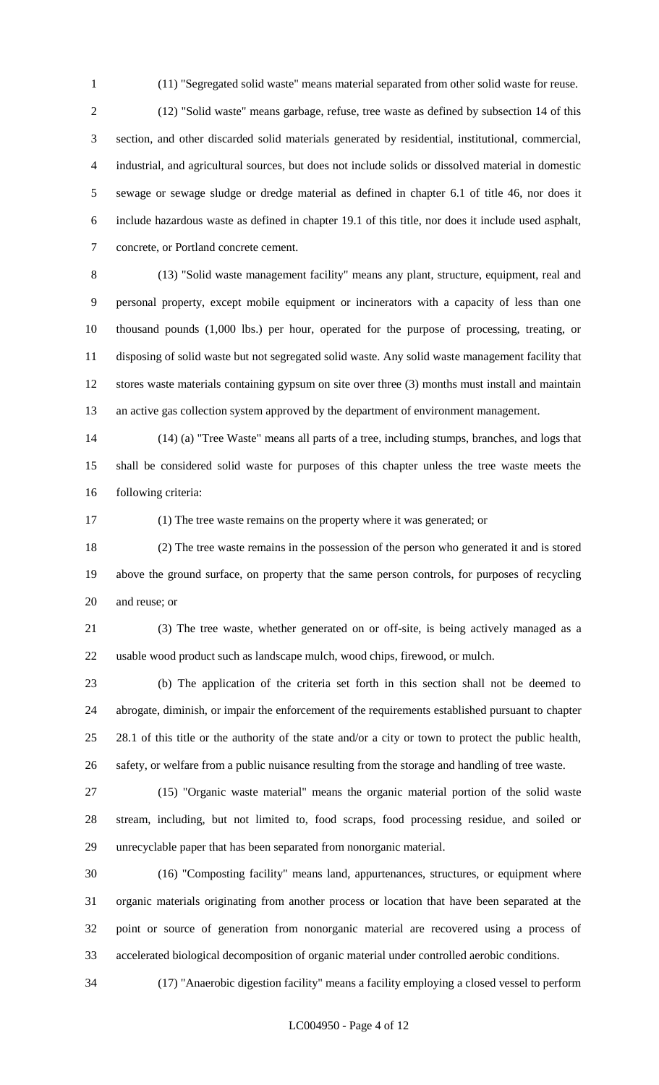(11) "Segregated solid waste" means material separated from other solid waste for reuse.

 (12) "Solid waste" means garbage, refuse, tree waste as defined by subsection 14 of this section, and other discarded solid materials generated by residential, institutional, commercial, industrial, and agricultural sources, but does not include solids or dissolved material in domestic sewage or sewage sludge or dredge material as defined in chapter 6.1 of title 46, nor does it include hazardous waste as defined in chapter 19.1 of this title, nor does it include used asphalt, concrete, or Portland concrete cement.

 (13) "Solid waste management facility" means any plant, structure, equipment, real and personal property, except mobile equipment or incinerators with a capacity of less than one thousand pounds (1,000 lbs.) per hour, operated for the purpose of processing, treating, or disposing of solid waste but not segregated solid waste. Any solid waste management facility that stores waste materials containing gypsum on site over three (3) months must install and maintain an active gas collection system approved by the department of environment management.

 (14) (a) "Tree Waste" means all parts of a tree, including stumps, branches, and logs that shall be considered solid waste for purposes of this chapter unless the tree waste meets the following criteria:

(1) The tree waste remains on the property where it was generated; or

 (2) The tree waste remains in the possession of the person who generated it and is stored above the ground surface, on property that the same person controls, for purposes of recycling and reuse; or

 (3) The tree waste, whether generated on or off-site, is being actively managed as a usable wood product such as landscape mulch, wood chips, firewood, or mulch.

 (b) The application of the criteria set forth in this section shall not be deemed to abrogate, diminish, or impair the enforcement of the requirements established pursuant to chapter 28.1 of this title or the authority of the state and/or a city or town to protect the public health, safety, or welfare from a public nuisance resulting from the storage and handling of tree waste.

 (15) "Organic waste material" means the organic material portion of the solid waste stream, including, but not limited to, food scraps, food processing residue, and soiled or unrecyclable paper that has been separated from nonorganic material.

 (16) "Composting facility" means land, appurtenances, structures, or equipment where organic materials originating from another process or location that have been separated at the point or source of generation from nonorganic material are recovered using a process of accelerated biological decomposition of organic material under controlled aerobic conditions.

(17) "Anaerobic digestion facility" means a facility employing a closed vessel to perform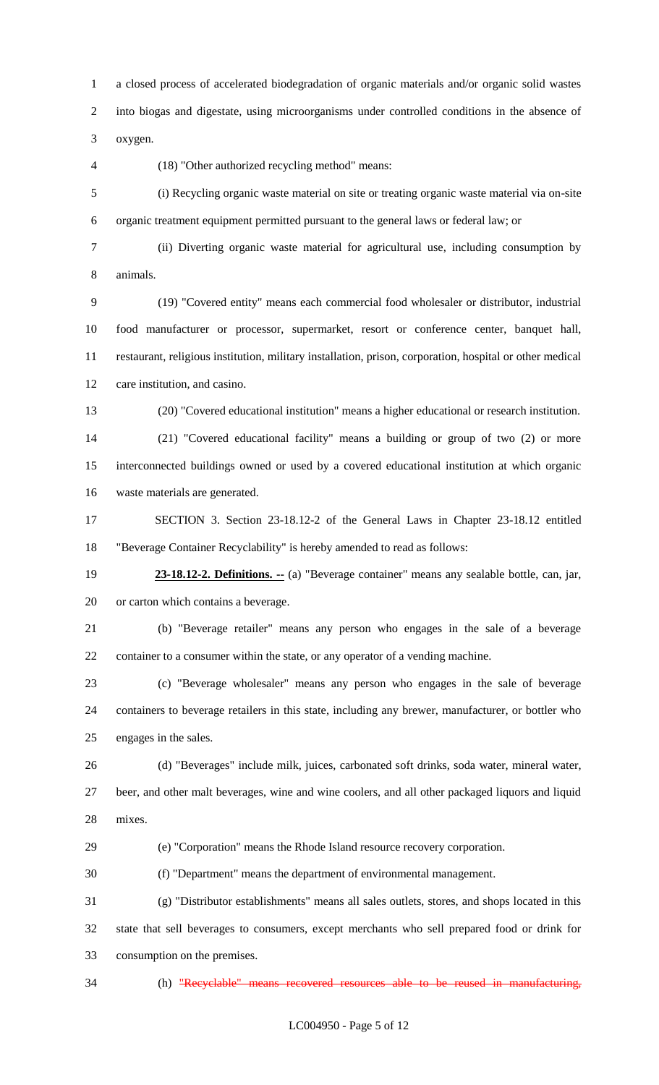a closed process of accelerated biodegradation of organic materials and/or organic solid wastes into biogas and digestate, using microorganisms under controlled conditions in the absence of oxygen.

(18) "Other authorized recycling method" means:

 (i) Recycling organic waste material on site or treating organic waste material via on-site organic treatment equipment permitted pursuant to the general laws or federal law; or

 (ii) Diverting organic waste material for agricultural use, including consumption by animals.

 (19) "Covered entity" means each commercial food wholesaler or distributor, industrial food manufacturer or processor, supermarket, resort or conference center, banquet hall, restaurant, religious institution, military installation, prison, corporation, hospital or other medical care institution, and casino.

(20) "Covered educational institution" means a higher educational or research institution.

 (21) "Covered educational facility" means a building or group of two (2) or more interconnected buildings owned or used by a covered educational institution at which organic waste materials are generated.

 SECTION 3. Section 23-18.12-2 of the General Laws in Chapter 23-18.12 entitled "Beverage Container Recyclability" is hereby amended to read as follows:

 **23-18.12-2. Definitions. --** (a) "Beverage container" means any sealable bottle, can, jar, or carton which contains a beverage.

 (b) "Beverage retailer" means any person who engages in the sale of a beverage container to a consumer within the state, or any operator of a vending machine.

 (c) "Beverage wholesaler" means any person who engages in the sale of beverage containers to beverage retailers in this state, including any brewer, manufacturer, or bottler who engages in the sales.

 (d) "Beverages" include milk, juices, carbonated soft drinks, soda water, mineral water, beer, and other malt beverages, wine and wine coolers, and all other packaged liquors and liquid mixes.

(e) "Corporation" means the Rhode Island resource recovery corporation.

(f) "Department" means the department of environmental management.

 (g) "Distributor establishments" means all sales outlets, stores, and shops located in this state that sell beverages to consumers, except merchants who sell prepared food or drink for consumption on the premises.

(h) "Recyclable" means recovered resources able to be reused in manufacturing,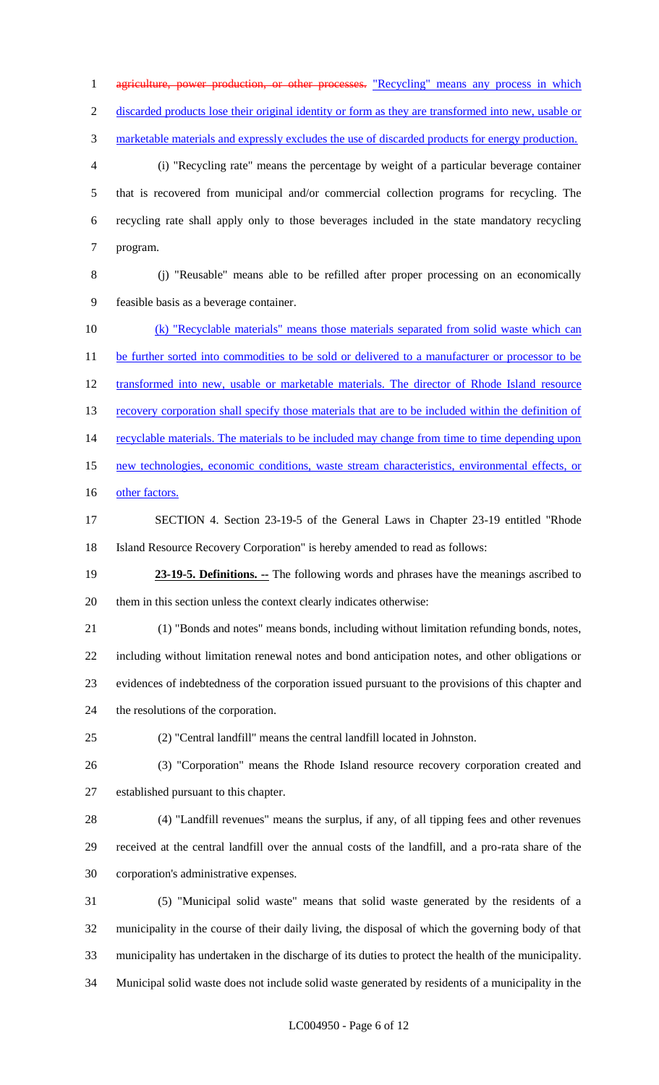1 agriculture, power production, or other processes. "Recycling" means any process in which discarded products lose their original identity or form as they are transformed into new, usable or marketable materials and expressly excludes the use of discarded products for energy production. (i) "Recycling rate" means the percentage by weight of a particular beverage container that is recovered from municipal and/or commercial collection programs for recycling. The recycling rate shall apply only to those beverages included in the state mandatory recycling program. (j) "Reusable" means able to be refilled after proper processing on an economically feasible basis as a beverage container. (k) "Recyclable materials" means those materials separated from solid waste which can 11 be further sorted into commodities to be sold or delivered to a manufacturer or processor to be 12 transformed into new, usable or marketable materials. The director of Rhode Island resource 13 recovery corporation shall specify those materials that are to be included within the definition of 14 recyclable materials. The materials to be included may change from time to time depending upon new technologies, economic conditions, waste stream characteristics, environmental effects, or 16 other factors. SECTION 4. Section 23-19-5 of the General Laws in Chapter 23-19 entitled "Rhode Island Resource Recovery Corporation" is hereby amended to read as follows: **23-19-5. Definitions.** -- The following words and phrases have the meanings ascribed to them in this section unless the context clearly indicates otherwise: (1) "Bonds and notes" means bonds, including without limitation refunding bonds, notes, including without limitation renewal notes and bond anticipation notes, and other obligations or evidences of indebtedness of the corporation issued pursuant to the provisions of this chapter and the resolutions of the corporation. (2) "Central landfill" means the central landfill located in Johnston. (3) "Corporation" means the Rhode Island resource recovery corporation created and established pursuant to this chapter. (4) "Landfill revenues" means the surplus, if any, of all tipping fees and other revenues received at the central landfill over the annual costs of the landfill, and a pro-rata share of the corporation's administrative expenses. (5) "Municipal solid waste" means that solid waste generated by the residents of a municipality in the course of their daily living, the disposal of which the governing body of that municipality has undertaken in the discharge of its duties to protect the health of the municipality. Municipal solid waste does not include solid waste generated by residents of a municipality in the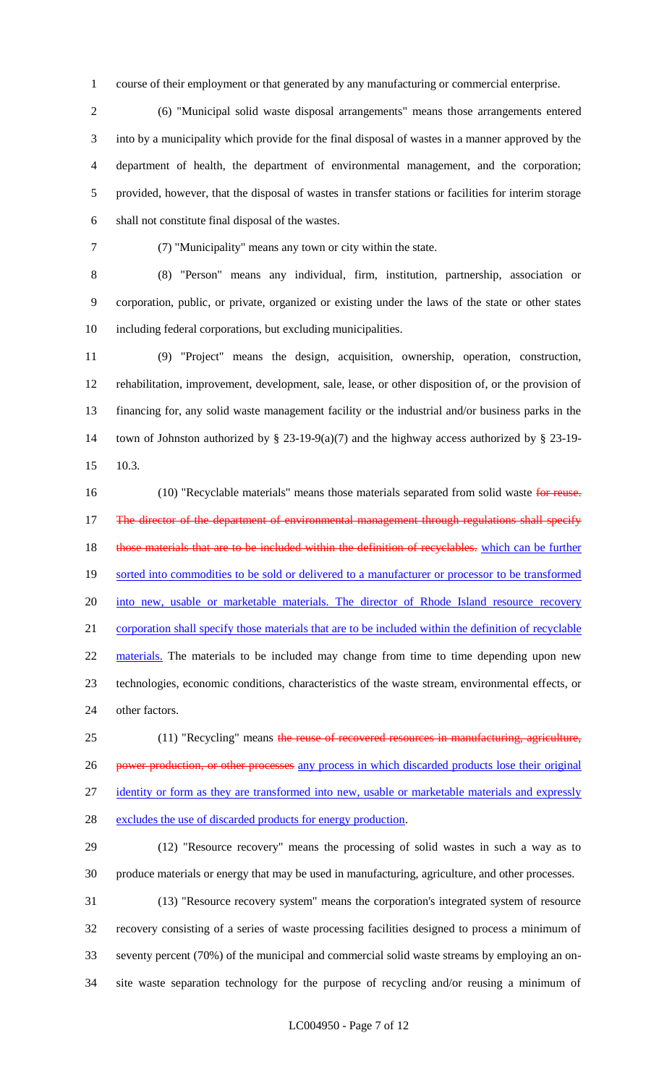course of their employment or that generated by any manufacturing or commercial enterprise.

 (6) "Municipal solid waste disposal arrangements" means those arrangements entered into by a municipality which provide for the final disposal of wastes in a manner approved by the department of health, the department of environmental management, and the corporation; provided, however, that the disposal of wastes in transfer stations or facilities for interim storage shall not constitute final disposal of the wastes.

(7) "Municipality" means any town or city within the state.

 (8) "Person" means any individual, firm, institution, partnership, association or corporation, public, or private, organized or existing under the laws of the state or other states including federal corporations, but excluding municipalities.

 (9) "Project" means the design, acquisition, ownership, operation, construction, rehabilitation, improvement, development, sale, lease, or other disposition of, or the provision of financing for, any solid waste management facility or the industrial and/or business parks in the town of Johnston authorized by § 23-19-9(a)(7) and the highway access authorized by § 23-19- 10.3.

16 (10) "Recyclable materials" means those materials separated from solid waste for reuse. 17 The director of the department of environmental management through regulations shall specify 18 those materials that are to be included within the definition of recyclables. which can be further 19 sorted into commodities to be sold or delivered to a manufacturer or processor to be transformed into new, usable or marketable materials. The director of Rhode Island resource recovery corporation shall specify those materials that are to be included within the definition of recyclable 22 materials. The materials to be included may change from time to time depending upon new technologies, economic conditions, characteristics of the waste stream, environmental effects, or other factors.

25 (11) "Recycling" means the reuse of recovered resources in manufacturing, agriculture, 26 power production, or other processes any process in which discarded products lose their original 27 identity or form as they are transformed into new, usable or marketable materials and expressly

excludes the use of discarded products for energy production.

 (12) "Resource recovery" means the processing of solid wastes in such a way as to produce materials or energy that may be used in manufacturing, agriculture, and other processes.

 (13) "Resource recovery system" means the corporation's integrated system of resource recovery consisting of a series of waste processing facilities designed to process a minimum of seventy percent (70%) of the municipal and commercial solid waste streams by employing an on-site waste separation technology for the purpose of recycling and/or reusing a minimum of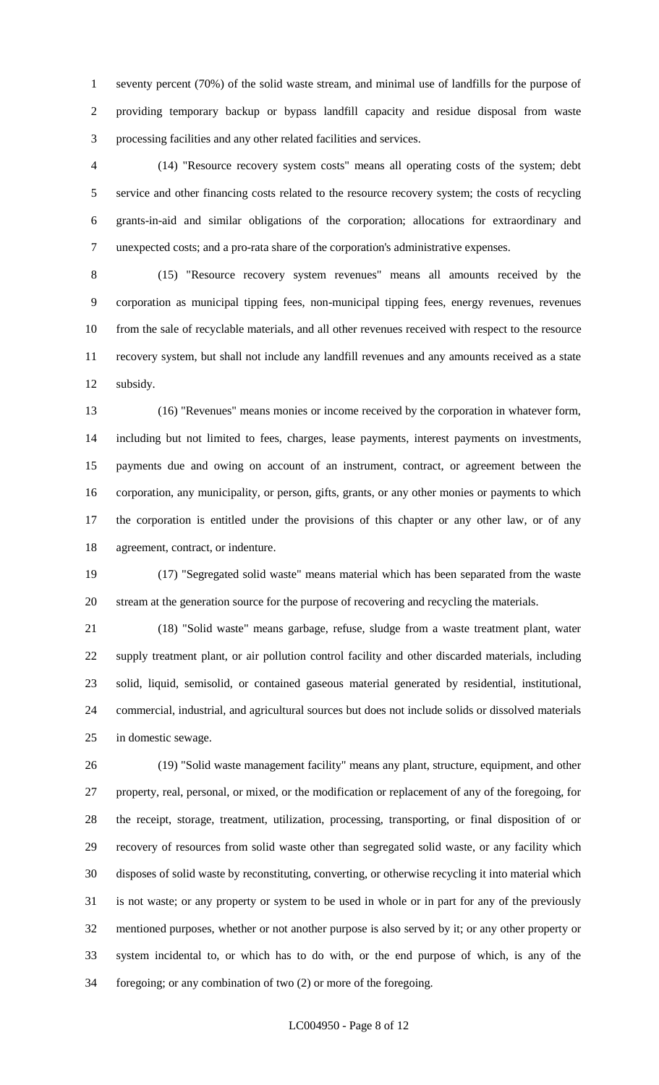seventy percent (70%) of the solid waste stream, and minimal use of landfills for the purpose of providing temporary backup or bypass landfill capacity and residue disposal from waste processing facilities and any other related facilities and services.

 (14) "Resource recovery system costs" means all operating costs of the system; debt service and other financing costs related to the resource recovery system; the costs of recycling grants-in-aid and similar obligations of the corporation; allocations for extraordinary and unexpected costs; and a pro-rata share of the corporation's administrative expenses.

 (15) "Resource recovery system revenues" means all amounts received by the corporation as municipal tipping fees, non-municipal tipping fees, energy revenues, revenues from the sale of recyclable materials, and all other revenues received with respect to the resource recovery system, but shall not include any landfill revenues and any amounts received as a state subsidy.

 (16) "Revenues" means monies or income received by the corporation in whatever form, including but not limited to fees, charges, lease payments, interest payments on investments, payments due and owing on account of an instrument, contract, or agreement between the corporation, any municipality, or person, gifts, grants, or any other monies or payments to which the corporation is entitled under the provisions of this chapter or any other law, or of any agreement, contract, or indenture.

 (17) "Segregated solid waste" means material which has been separated from the waste stream at the generation source for the purpose of recovering and recycling the materials.

 (18) "Solid waste" means garbage, refuse, sludge from a waste treatment plant, water supply treatment plant, or air pollution control facility and other discarded materials, including solid, liquid, semisolid, or contained gaseous material generated by residential, institutional, commercial, industrial, and agricultural sources but does not include solids or dissolved materials in domestic sewage.

 (19) "Solid waste management facility" means any plant, structure, equipment, and other property, real, personal, or mixed, or the modification or replacement of any of the foregoing, for the receipt, storage, treatment, utilization, processing, transporting, or final disposition of or recovery of resources from solid waste other than segregated solid waste, or any facility which disposes of solid waste by reconstituting, converting, or otherwise recycling it into material which is not waste; or any property or system to be used in whole or in part for any of the previously mentioned purposes, whether or not another purpose is also served by it; or any other property or system incidental to, or which has to do with, or the end purpose of which, is any of the foregoing; or any combination of two (2) or more of the foregoing.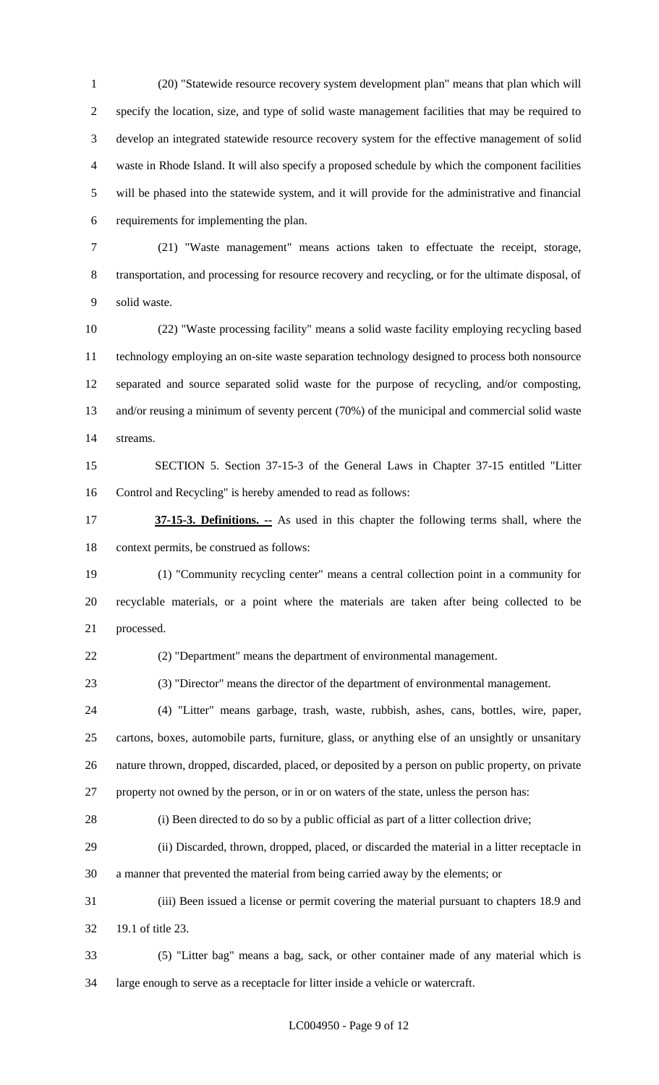(20) "Statewide resource recovery system development plan" means that plan which will specify the location, size, and type of solid waste management facilities that may be required to develop an integrated statewide resource recovery system for the effective management of solid waste in Rhode Island. It will also specify a proposed schedule by which the component facilities will be phased into the statewide system, and it will provide for the administrative and financial requirements for implementing the plan.

 (21) "Waste management" means actions taken to effectuate the receipt, storage, transportation, and processing for resource recovery and recycling, or for the ultimate disposal, of solid waste.

 (22) "Waste processing facility" means a solid waste facility employing recycling based technology employing an on-site waste separation technology designed to process both nonsource separated and source separated solid waste for the purpose of recycling, and/or composting, and/or reusing a minimum of seventy percent (70%) of the municipal and commercial solid waste streams.

 SECTION 5. Section 37-15-3 of the General Laws in Chapter 37-15 entitled "Litter Control and Recycling" is hereby amended to read as follows:

 **37-15-3. Definitions. --** As used in this chapter the following terms shall, where the context permits, be construed as follows:

 (1) "Community recycling center" means a central collection point in a community for recyclable materials, or a point where the materials are taken after being collected to be processed.

(2) "Department" means the department of environmental management.

(3) "Director" means the director of the department of environmental management.

 (4) "Litter" means garbage, trash, waste, rubbish, ashes, cans, bottles, wire, paper, cartons, boxes, automobile parts, furniture, glass, or anything else of an unsightly or unsanitary nature thrown, dropped, discarded, placed, or deposited by a person on public property, on private property not owned by the person, or in or on waters of the state, unless the person has:

(i) Been directed to do so by a public official as part of a litter collection drive;

 (ii) Discarded, thrown, dropped, placed, or discarded the material in a litter receptacle in a manner that prevented the material from being carried away by the elements; or

 (iii) Been issued a license or permit covering the material pursuant to chapters 18.9 and 19.1 of title 23.

 (5) "Litter bag" means a bag, sack, or other container made of any material which is large enough to serve as a receptacle for litter inside a vehicle or watercraft.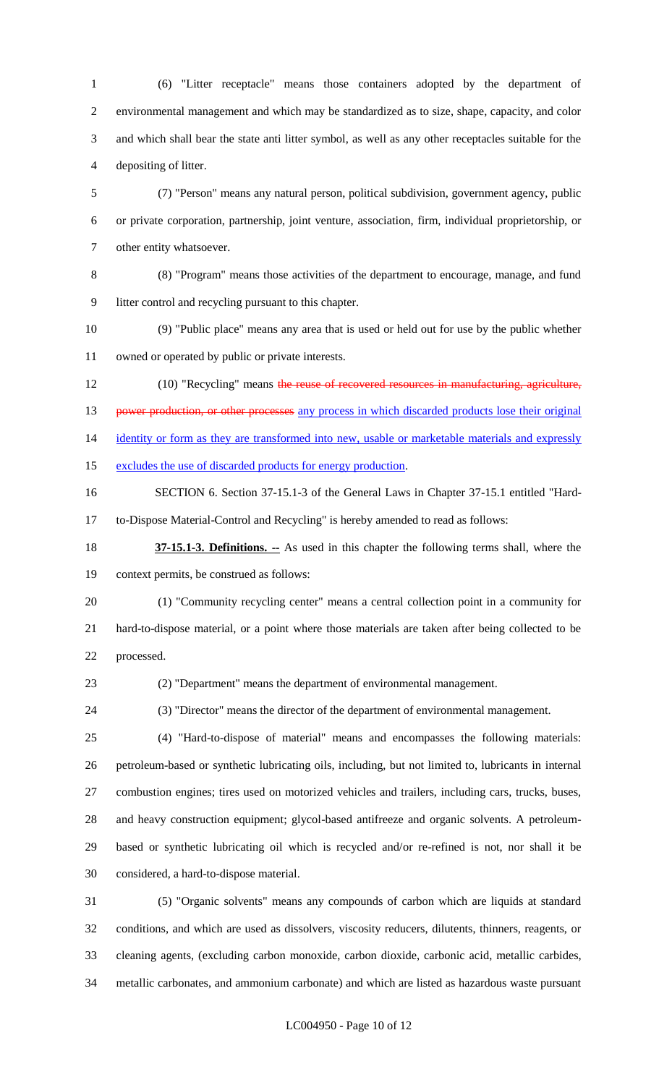(6) "Litter receptacle" means those containers adopted by the department of environmental management and which may be standardized as to size, shape, capacity, and color and which shall bear the state anti litter symbol, as well as any other receptacles suitable for the depositing of litter.

 (7) "Person" means any natural person, political subdivision, government agency, public or private corporation, partnership, joint venture, association, firm, individual proprietorship, or other entity whatsoever.

(8) "Program" means those activities of the department to encourage, manage, and fund

litter control and recycling pursuant to this chapter.

 (9) "Public place" means any area that is used or held out for use by the public whether owned or operated by public or private interests.

12 (10) "Recycling" means the reuse of recovered resources in manufacturing, agriculture, 13 power production, or other processes any process in which discarded products lose their original 14 identity or form as they are transformed into new, usable or marketable materials and expressly

15 excludes the use of discarded products for energy production.

 SECTION 6. Section 37-15.1-3 of the General Laws in Chapter 37-15.1 entitled "Hard-to-Dispose Material-Control and Recycling" is hereby amended to read as follows:

 **37-15.1-3. Definitions. --** As used in this chapter the following terms shall, where the context permits, be construed as follows:

 (1) "Community recycling center" means a central collection point in a community for hard-to-dispose material, or a point where those materials are taken after being collected to be processed.

(2) "Department" means the department of environmental management.

(3) "Director" means the director of the department of environmental management.

 (4) "Hard-to-dispose of material" means and encompasses the following materials: petroleum-based or synthetic lubricating oils, including, but not limited to, lubricants in internal combustion engines; tires used on motorized vehicles and trailers, including cars, trucks, buses, and heavy construction equipment; glycol-based antifreeze and organic solvents. A petroleum- based or synthetic lubricating oil which is recycled and/or re-refined is not, nor shall it be considered, a hard-to-dispose material.

 (5) "Organic solvents" means any compounds of carbon which are liquids at standard conditions, and which are used as dissolvers, viscosity reducers, dilutents, thinners, reagents, or cleaning agents, (excluding carbon monoxide, carbon dioxide, carbonic acid, metallic carbides, metallic carbonates, and ammonium carbonate) and which are listed as hazardous waste pursuant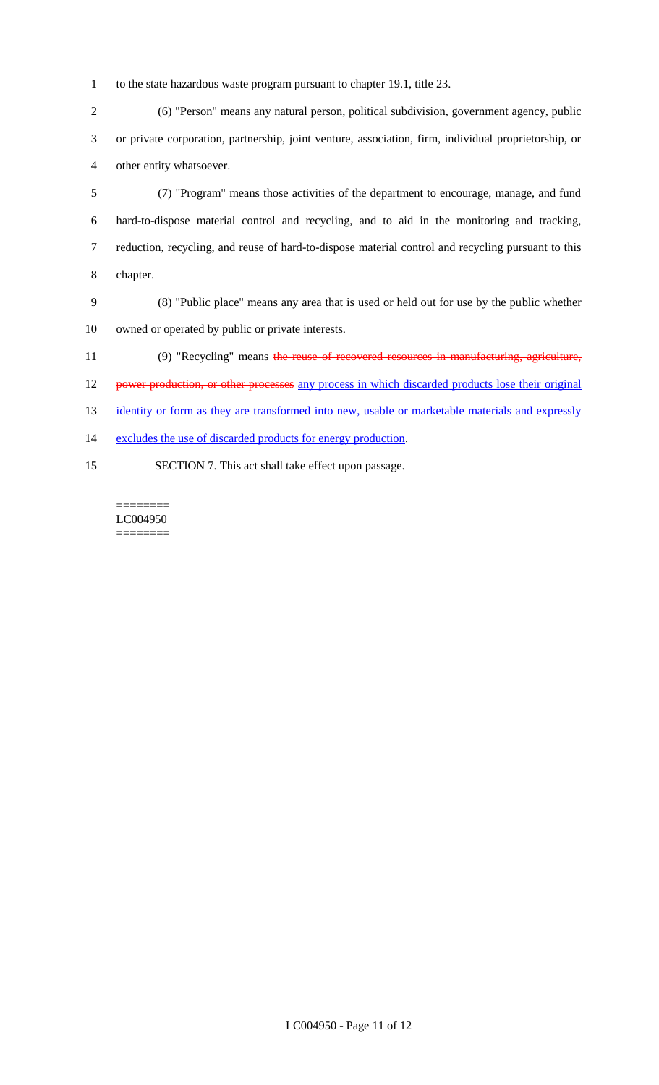1 to the state hazardous waste program pursuant to chapter 19.1, title 23.

2 (6) "Person" means any natural person, political subdivision, government agency, public 3 or private corporation, partnership, joint venture, association, firm, individual proprietorship, or 4 other entity whatsoever.

 (7) "Program" means those activities of the department to encourage, manage, and fund hard-to-dispose material control and recycling, and to aid in the monitoring and tracking, reduction, recycling, and reuse of hard-to-dispose material control and recycling pursuant to this 8 chapter.

- 9 (8) "Public place" means any area that is used or held out for use by the public whether 10 owned or operated by public or private interests.
- 11 (9) "Recycling" means the reuse of recovered resources in manufacturing, agriculture,
- 12 power production, or other processes any process in which discarded products lose their original
- 13 identity or form as they are transformed into new, usable or marketable materials and expressly
- 14 excludes the use of discarded products for energy production.
- 15 SECTION 7. This act shall take effect upon passage.

======== LC004950  $=$